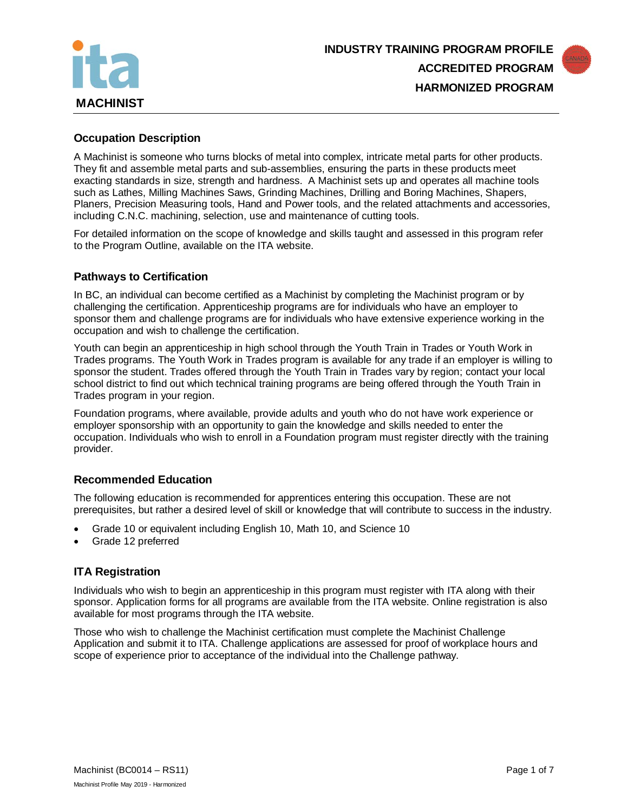



### **Occupation Description**

A Machinist is someone who turns blocks of metal into complex, intricate metal parts for other products. They fit and assemble metal parts and sub-assemblies, ensuring the parts in these products meet exacting standards in size, strength and hardness. A Machinist sets up and operates all machine tools such as Lathes, Milling Machines Saws, Grinding Machines, Drilling and Boring Machines, Shapers, Planers, Precision Measuring tools, Hand and Power tools, and the related attachments and accessories, including C.N.C. machining, selection, use and maintenance of cutting tools.

For detailed information on the scope of knowledge and skills taught and assessed in this program refer to the Program Outline, available on the ITA website.

### **Pathways to Certification**

In BC, an individual can become certified as a Machinist by completing the Machinist program or by challenging the certification. Apprenticeship programs are for individuals who have an employer to sponsor them and challenge programs are for individuals who have extensive experience working in the occupation and wish to challenge the certification.

Youth can begin an apprenticeship in high school through the Youth Train in Trades or Youth Work in Trades programs. The Youth Work in Trades program is available for any trade if an employer is willing to sponsor the student. Trades offered through the Youth Train in Trades vary by region; contact your local school district to find out which technical training programs are being offered through the Youth Train in Trades program in your region.

Foundation programs, where available, provide adults and youth who do not have work experience or employer sponsorship with an opportunity to gain the knowledge and skills needed to enter the occupation. Individuals who wish to enroll in a Foundation program must register directly with the training provider.

# **Recommended Education**

The following education is recommended for apprentices entering this occupation. These are not prerequisites, but rather a desired level of skill or knowledge that will contribute to success in the industry.

- Grade 10 or equivalent including English 10, Math 10, and Science 10
- Grade 12 preferred

# **ITA Registration**

Individuals who wish to begin an apprenticeship in this program must register with ITA along with their sponsor. Application forms for all programs are available from the ITA website. Online registration is also available for most programs through the ITA website.

Those who wish to challenge the Machinist certification must complete the Machinist Challenge Application and submit it to ITA. Challenge applications are assessed for proof of workplace hours and scope of experience prior to acceptance of the individual into the Challenge pathway.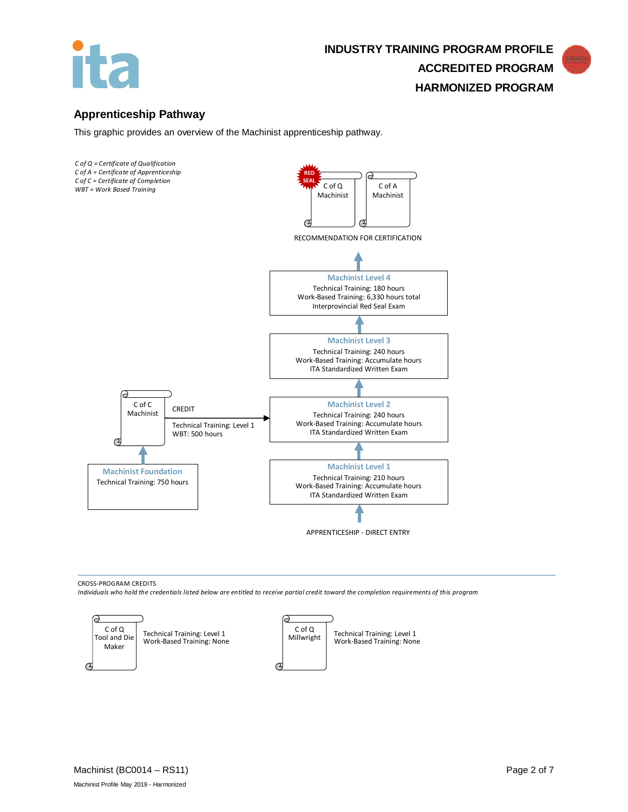

# **Apprenticeship Pathway**

This graphic provides an overview of the Machinist apprenticeship pathway.



CROSS-PROGRAM CREDITS

*Individuals who hold the credentials listed below are entitled to receive partial credit toward the completion requirements of this program*

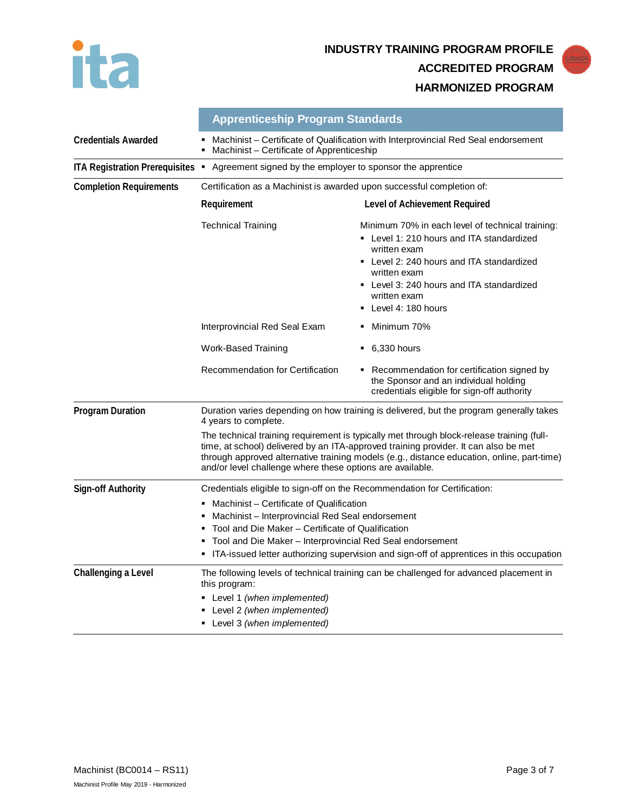

**INDUSTRY TRAINING PROGRAM PROFILE ACCREDITED PROGRAM HARMONIZED PROGRAM**



|                                  | <b>Apprenticeship Program Standards</b><br>Machinist - Certificate of Qualification with Interprovincial Red Seal endorsement<br>Machinist - Certificate of Apprenticeship                                                                                                                                                                  |                                                                                                                                                                                                                                                                 |  |
|----------------------------------|---------------------------------------------------------------------------------------------------------------------------------------------------------------------------------------------------------------------------------------------------------------------------------------------------------------------------------------------|-----------------------------------------------------------------------------------------------------------------------------------------------------------------------------------------------------------------------------------------------------------------|--|
| <b>Credentials Awarded</b>       |                                                                                                                                                                                                                                                                                                                                             |                                                                                                                                                                                                                                                                 |  |
| ITA Registration Prerequisites . | Agreement signed by the employer to sponsor the apprentice                                                                                                                                                                                                                                                                                  |                                                                                                                                                                                                                                                                 |  |
| <b>Completion Requirements</b>   | Certification as a Machinist is awarded upon successful completion of:                                                                                                                                                                                                                                                                      |                                                                                                                                                                                                                                                                 |  |
|                                  | Requirement                                                                                                                                                                                                                                                                                                                                 | Level of Achievement Required                                                                                                                                                                                                                                   |  |
|                                  | <b>Technical Training</b>                                                                                                                                                                                                                                                                                                                   | Minimum 70% in each level of technical training:<br>• Level 1: 210 hours and ITA standardized<br>written exam<br>• Level 2: 240 hours and ITA standardized<br>written exam<br>• Level 3: 240 hours and ITA standardized<br>written exam<br>• Level 4: 180 hours |  |
|                                  | Interprovincial Red Seal Exam                                                                                                                                                                                                                                                                                                               | • Minimum 70%                                                                                                                                                                                                                                                   |  |
|                                  | Work-Based Training                                                                                                                                                                                                                                                                                                                         | $\bullet$ 6,330 hours                                                                                                                                                                                                                                           |  |
|                                  | Recommendation for Certification                                                                                                                                                                                                                                                                                                            | • Recommendation for certification signed by<br>the Sponsor and an individual holding<br>credentials eligible for sign-off authority                                                                                                                            |  |
| <b>Program Duration</b>          | Duration varies depending on how training is delivered, but the program generally takes<br>4 years to complete.                                                                                                                                                                                                                             |                                                                                                                                                                                                                                                                 |  |
|                                  | The technical training requirement is typically met through block-release training (full-<br>time, at school) delivered by an ITA-approved training provider. It can also be met<br>through approved alternative training models (e.g., distance education, online, part-time)<br>and/or level challenge where these options are available. |                                                                                                                                                                                                                                                                 |  |
| Sign-off Authority               | Credentials eligible to sign-off on the Recommendation for Certification:<br>Machinist - Certificate of Qualification<br>٠<br>Machinist - Interprovincial Red Seal endorsement<br>٠<br>Tool and Die Maker – Certificate of Qualification<br>Tool and Die Maker - Interprovincial Red Seal endorsement                                       |                                                                                                                                                                                                                                                                 |  |

**Challenging a Level** The following levels of technical training can be challenged for advanced placement in

this program:

 Level 1 *(when implemented)* Level 2 *(when implemented)* Level 3 *(when implemented)*

ITA-issued letter authorizing supervision and sign-off of apprentices in this occupation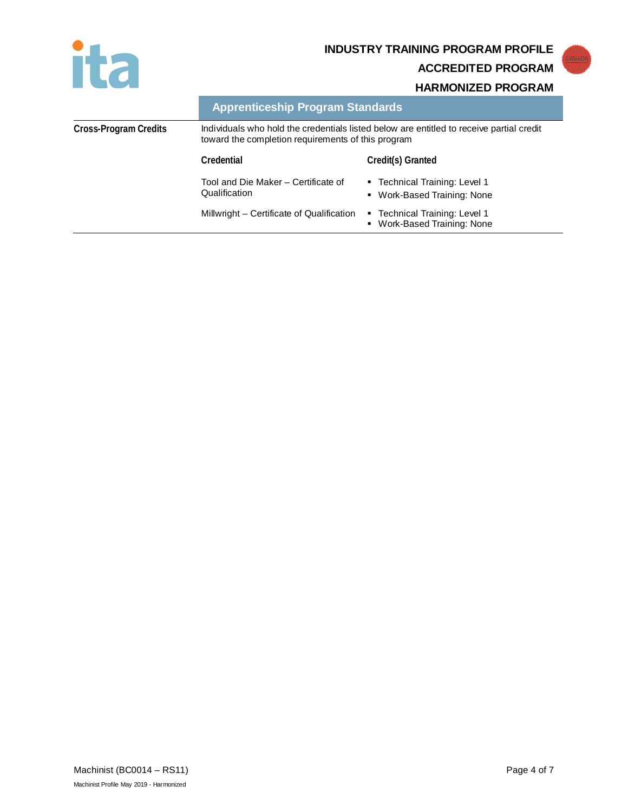

# **INDUSTRY TRAINING PROGRAM PROFILE ACCREDITED PROGRAM**

**HARMONIZED PROGRAM**

| <b>Apprenticeship Program Standards</b> |  |  |
|-----------------------------------------|--|--|
|                                         |  |  |

| Cross-Program Credits | Individuals who hold the credentials listed below are entitled to receive partial credit<br>toward the completion requirements of this program |                                                              |
|-----------------------|------------------------------------------------------------------------------------------------------------------------------------------------|--------------------------------------------------------------|
|                       | Credential                                                                                                                                     | Credit(s) Granted                                            |
|                       | Tool and Die Maker – Certificate of<br>Qualification                                                                                           | • Technical Training: Level 1<br>• Work-Based Training: None |
|                       | Millwright - Certificate of Qualification                                                                                                      | • Technical Training: Level 1<br>• Work-Based Training: None |
|                       |                                                                                                                                                |                                                              |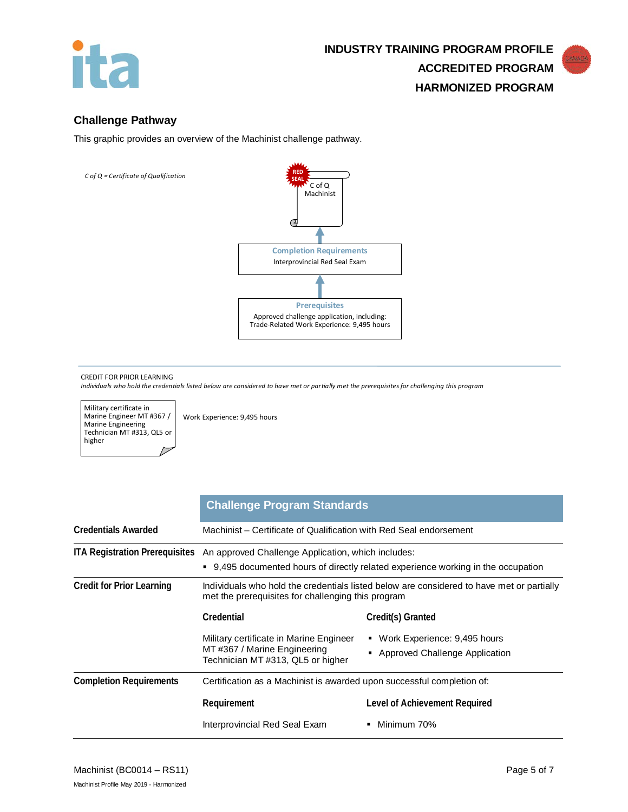

# **Challenge Pathway**

This graphic provides an overview of the Machinist challenge pathway.



#### CREDIT FOR PRIOR LEARNING

*Individuals who hold the credentials listed below are considered to have met or partially met the prerequisites for challenging this program*

Military certificate in Marine Engineer MT #367 / Marine Engineering Technician MT #313, QL5 or higher

Work Experience: 9,495 hours

|                                  | <b>Challenge Program Standards</b>                                                                                                                                     |                                                                                           |  |
|----------------------------------|------------------------------------------------------------------------------------------------------------------------------------------------------------------------|-------------------------------------------------------------------------------------------|--|
| <b>Credentials Awarded</b>       | Machinist – Certificate of Qualification with Red Seal endorsement                                                                                                     |                                                                                           |  |
|                                  | ITA Registration Prerequisites An approved Challenge Application, which includes:<br>• 9,495 documented hours of directly related experience working in the occupation |                                                                                           |  |
| <b>Credit for Prior Learning</b> | met the prerequisites for challenging this program                                                                                                                     | Individuals who hold the credentials listed below are considered to have met or partially |  |
|                                  | Credential                                                                                                                                                             | Credit(s) Granted                                                                         |  |
|                                  | Military certificate in Marine Engineer<br>MT#367 / Marine Engineering<br>Technician MT #313, QL5 or higher                                                            | Work Experience: 9,495 hours<br>Approved Challenge Application                            |  |
| <b>Completion Requirements</b>   | Certification as a Machinist is awarded upon successful completion of:                                                                                                 |                                                                                           |  |
|                                  | Requirement                                                                                                                                                            | Level of Achievement Required                                                             |  |
|                                  | Interprovincial Red Seal Exam                                                                                                                                          | Minimum 70%                                                                               |  |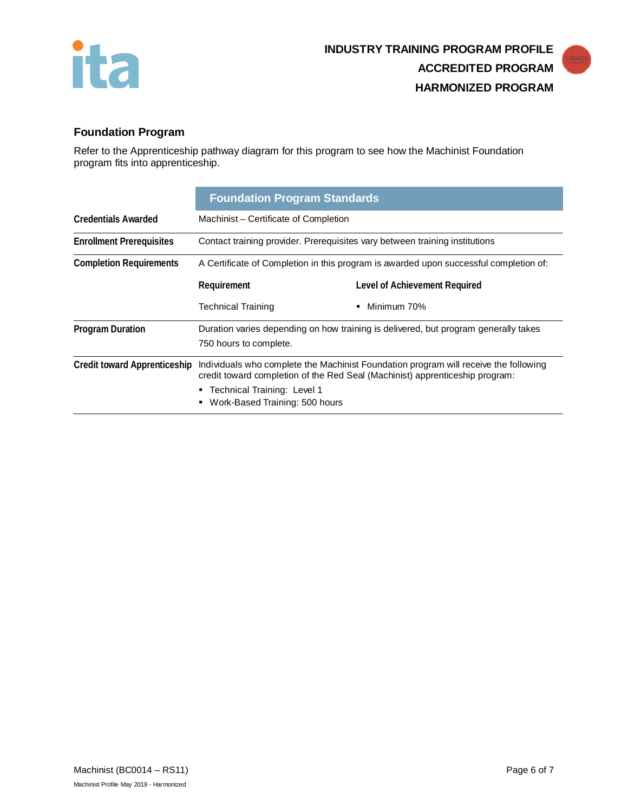



# **Foundation Program**

Refer to the Apprenticeship pathway diagram for this program to see how the Machinist Foundation program fits into apprenticeship.

|                                     | <b>Foundation Program Standards</b>                                                                                                                                  |                               |
|-------------------------------------|----------------------------------------------------------------------------------------------------------------------------------------------------------------------|-------------------------------|
| <b>Credentials Awarded</b>          | Machinist – Certificate of Completion                                                                                                                                |                               |
| <b>Enrollment Prerequisites</b>     | Contact training provider. Prerequisites vary between training institutions                                                                                          |                               |
| <b>Completion Requirements</b>      | A Certificate of Completion in this program is awarded upon successful completion of:                                                                                |                               |
|                                     | Requirement                                                                                                                                                          | Level of Achievement Required |
|                                     | <b>Technical Training</b>                                                                                                                                            | Minimum 70%                   |
| <b>Program Duration</b>             | Duration varies depending on how training is delivered, but program generally takes<br>750 hours to complete.                                                        |                               |
| <b>Credit toward Apprenticeship</b> | Individuals who complete the Machinist Foundation program will receive the following<br>credit toward completion of the Red Seal (Machinist) apprenticeship program: |                               |
|                                     | ■ Technical Training: Level 1<br>Work-Based Training: 500 hours                                                                                                      |                               |